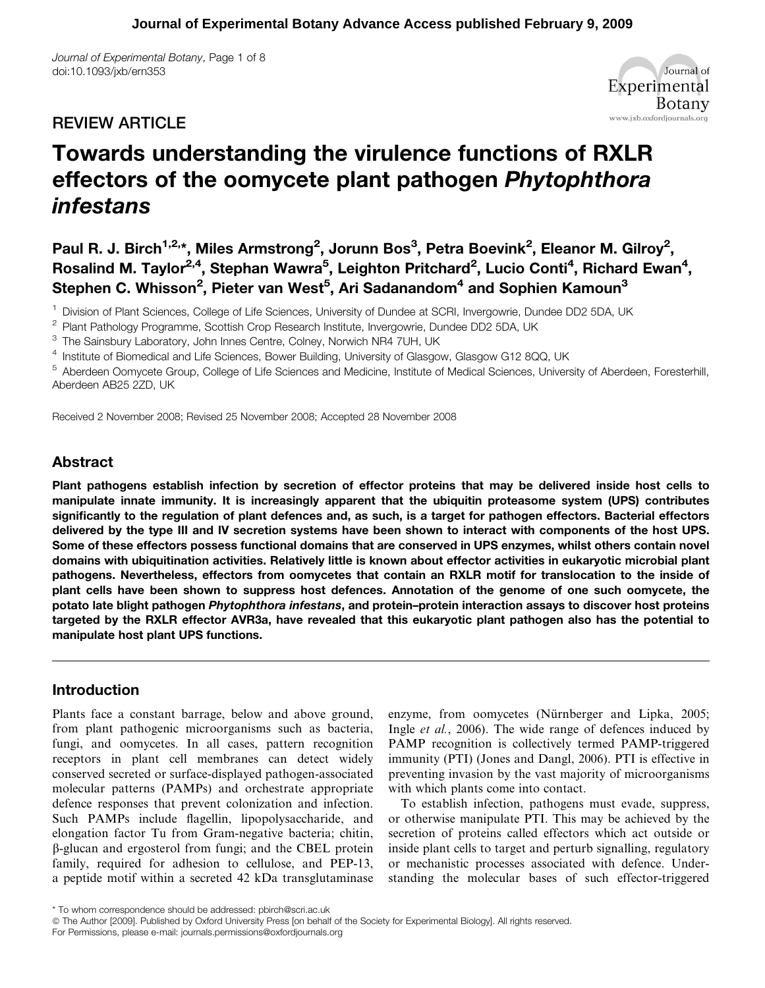Journal of Experimental Botany, Page 1 of 8 doi:10.1093/jxb/ern353

## REVIEW ARTICLE



# Towards understanding the virulence functions of RXLR effectors of the oomycete plant pathogen Phytophthora infestans

Paul R. J. Birch<sup>1,2,</sup>\*, Miles Armstrong<sup>2</sup>, Jorunn Bos<sup>3</sup>, Petra Boevink<sup>2</sup>, Eleanor M. Gilroy<sup>2</sup>, Rosalind M. Taylor<sup>2,4</sup>, Stephan Wawra<sup>5</sup>, Leighton Pritchard<sup>2</sup>, Lucio Conti<sup>4</sup>, Richard Ewan<sup>4</sup>, Stephen C. Whisson<sup>2</sup>, Pieter van West<sup>5</sup>, Ari Sadanandom<sup>4</sup> and Sophien Kamoun<sup>3</sup>

<sup>1</sup> Division of Plant Sciences, College of Life Sciences, University of Dundee at SCRI, Invergowrie, Dundee DD2 5DA, UK

<sup>2</sup> Plant Pathology Programme, Scottish Crop Research Institute, Invergowrie, Dundee DD2 5DA, UK

<sup>3</sup> The Sainsbury Laboratory, John Innes Centre, Colney, Norwich NR4 7UH, UK

<sup>4</sup> Institute of Biomedical and Life Sciences, Bower Building, University of Glasgow, Glasgow G12 8QQ, UK

<sup>5</sup> Aberdeen Oomycete Group, College of Life Sciences and Medicine, Institute of Medical Sciences, University of Aberdeen, Foresterhill, Aberdeen AB25 2ZD, UK

Received 2 November 2008; Revised 25 November 2008; Accepted 28 November 2008

#### Abstract

Plant pathogens establish infection by secretion of effector proteins that may be delivered inside host cells to manipulate innate immunity. It is increasingly apparent that the ubiquitin proteasome system (UPS) contributes significantly to the regulation of plant defences and, as such, is a target for pathogen effectors. Bacterial effectors delivered by the type III and IV secretion systems have been shown to interact with components of the host UPS. Some of these effectors possess functional domains that are conserved in UPS enzymes, whilst others contain novel domains with ubiquitination activities. Relatively little is known about effector activities in eukaryotic microbial plant pathogens. Nevertheless, effectors from oomycetes that contain an RXLR motif for translocation to the inside of plant cells have been shown to suppress host defences. Annotation of the genome of one such oomycete, the potato late blight pathogen Phytophthora infestans, and protein–protein interaction assays to discover host proteins targeted by the RXLR effector AVR3a, have revealed that this eukaryotic plant pathogen also has the potential to manipulate host plant UPS functions.

#### Introduction

Plants face a constant barrage, below and above ground, from plant pathogenic microorganisms such as bacteria, fungi, and oomycetes. In all cases, pattern recognition receptors in plant cell membranes can detect widely conserved secreted or surface-displayed pathogen-associated molecular patterns (PAMPs) and orchestrate appropriate defence responses that prevent colonization and infection. Such PAMPs include flagellin, lipopolysaccharide, and elongation factor Tu from Gram-negative bacteria; chitin, b-glucan and ergosterol from fungi; and the CBEL protein family, required for adhesion to cellulose, and PEP-13, a peptide motif within a secreted 42 kDa transglutaminase enzyme, from oomycetes (Nürnberger and Lipka, 2005; Ingle et al., 2006). The wide range of defences induced by PAMP recognition is collectively termed PAMP-triggered immunity (PTI) (Jones and Dangl, 2006). PTI is effective in preventing invasion by the vast majority of microorganisms with which plants come into contact.

To establish infection, pathogens must evade, suppress, or otherwise manipulate PTI. This may be achieved by the secretion of proteins called effectors which act outside or inside plant cells to target and perturb signalling, regulatory or mechanistic processes associated with defence. Understanding the molecular bases of such effector-triggered

<sup>\*</sup> To whom correspondence should be addressed: pbirch@scri.ac.uk

*ª* The Author [2009]. Published by Oxford University Press [on behalf of the Society for Experimental Biology]. All rights reserved.

For Permissions, please e-mail: journals.permissions@oxfordjournals.org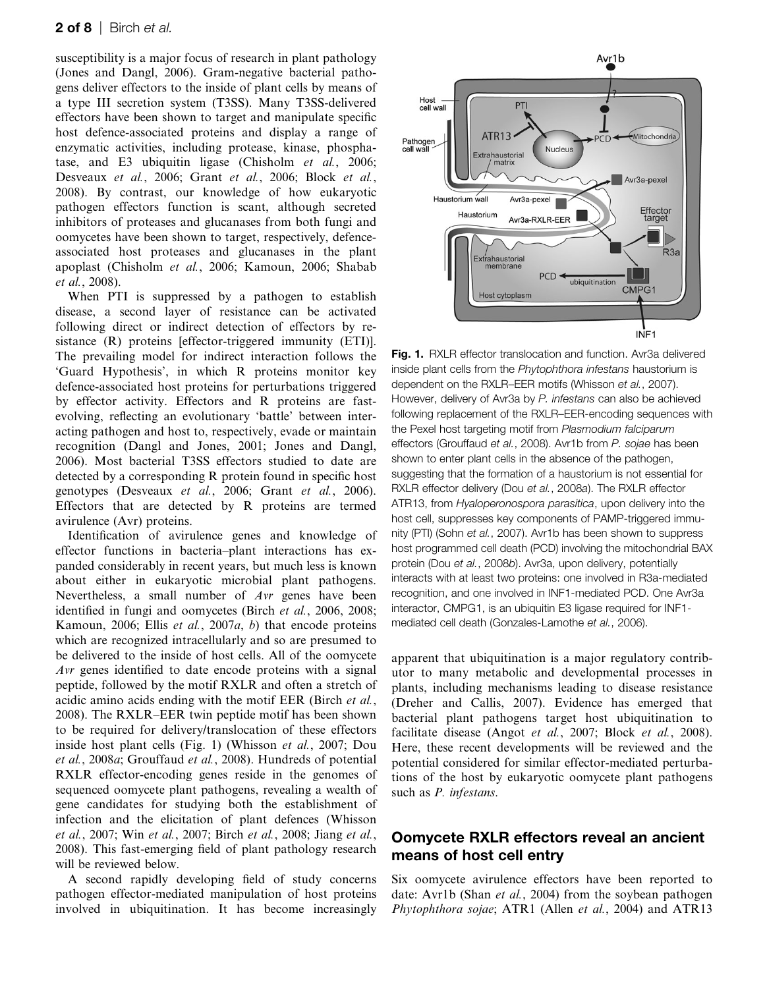#### **2 of 8** | Birch et al.

susceptibility is a major focus of research in plant pathology (Jones and Dangl, 2006). Gram-negative bacterial pathogens deliver effectors to the inside of plant cells by means of a type III secretion system (T3SS). Many T3SS-delivered effectors have been shown to target and manipulate specific host defence-associated proteins and display a range of enzymatic activities, including protease, kinase, phosphatase, and E3 ubiquitin ligase (Chisholm et al., 2006; Desveaux et al., 2006; Grant et al., 2006; Block et al., 2008). By contrast, our knowledge of how eukaryotic pathogen effectors function is scant, although secreted inhibitors of proteases and glucanases from both fungi and oomycetes have been shown to target, respectively, defenceassociated host proteases and glucanases in the plant apoplast (Chisholm et al., 2006; Kamoun, 2006; Shabab et al., 2008).

When PTI is suppressed by a pathogen to establish disease, a second layer of resistance can be activated following direct or indirect detection of effectors by resistance (R) proteins [effector-triggered immunity (ETI)]. The prevailing model for indirect interaction follows the 'Guard Hypothesis', in which R proteins monitor key defence-associated host proteins for perturbations triggered by effector activity. Effectors and R proteins are fastevolving, reflecting an evolutionary 'battle' between interacting pathogen and host to, respectively, evade or maintain recognition (Dangl and Jones, 2001; Jones and Dangl, 2006). Most bacterial T3SS effectors studied to date are detected by a corresponding R protein found in specific host genotypes (Desveaux et al., 2006; Grant et al., 2006). Effectors that are detected by R proteins are termed avirulence (Avr) proteins.

Identification of avirulence genes and knowledge of effector functions in bacteria–plant interactions has expanded considerably in recent years, but much less is known about either in eukaryotic microbial plant pathogens. Nevertheless, a small number of Avr genes have been identified in fungi and oomycetes (Birch et al., 2006, 2008; Kamoun, 2006; Ellis et al., 2007a, b) that encode proteins which are recognized intracellularly and so are presumed to be delivered to the inside of host cells. All of the oomycete Avr genes identified to date encode proteins with a signal peptide, followed by the motif RXLR and often a stretch of acidic amino acids ending with the motif EER (Birch et al., 2008). The RXLR–EER twin peptide motif has been shown to be required for delivery/translocation of these effectors inside host plant cells (Fig. 1) (Whisson et al., 2007; Dou et al., 2008a; Grouffaud et al., 2008). Hundreds of potential RXLR effector-encoding genes reside in the genomes of sequenced oomycete plant pathogens, revealing a wealth of gene candidates for studying both the establishment of infection and the elicitation of plant defences (Whisson et al., 2007; Win et al., 2007; Birch et al., 2008; Jiang et al., 2008). This fast-emerging field of plant pathology research will be reviewed below.

A second rapidly developing field of study concerns pathogen effector-mediated manipulation of host proteins involved in ubiquitination. It has become increasingly



Fig. 1. RXLR effector translocation and function. Avr3a delivered inside plant cells from the Phytophthora infestans haustorium is dependent on the RXLR–EER motifs (Whisson et al., 2007). However, delivery of Avr3a by P. infestans can also be achieved following replacement of the RXLR–EER-encoding sequences with the Pexel host targeting motif from Plasmodium falciparum effectors (Grouffaud et al., 2008). Avr1b from P. sojae has been shown to enter plant cells in the absence of the pathogen, suggesting that the formation of a haustorium is not essential for RXLR effector delivery (Dou et al., 2008a). The RXLR effector ATR13, from *Hyaloperonospora parasitica*, upon delivery into the host cell, suppresses key components of PAMP-triggered immunity (PTI) (Sohn et al., 2007). Avr1b has been shown to suppress host programmed cell death (PCD) involving the mitochondrial BAX protein (Dou et al., 2008b). Avr3a, upon delivery, potentially interacts with at least two proteins: one involved in R3a-mediated recognition, and one involved in INF1-mediated PCD. One Avr3a interactor, CMPG1, is an ubiquitin E3 ligase required for INF1 mediated cell death (Gonzales-Lamothe et al., 2006).

apparent that ubiquitination is a major regulatory contributor to many metabolic and developmental processes in plants, including mechanisms leading to disease resistance (Dreher and Callis, 2007). Evidence has emerged that bacterial plant pathogens target host ubiquitination to facilitate disease (Angot *et al.*, 2007; Block *et al.*, 2008). Here, these recent developments will be reviewed and the potential considered for similar effector-mediated perturbations of the host by eukaryotic oomycete plant pathogens such as P. infestans.

### Oomycete RXLR effectors reveal an ancient means of host cell entry

Six oomycete avirulence effectors have been reported to date: Avr1b (Shan *et al.*, 2004) from the sovbean pathogen Phytophthora sojae; ATR1 (Allen et al., 2004) and ATR13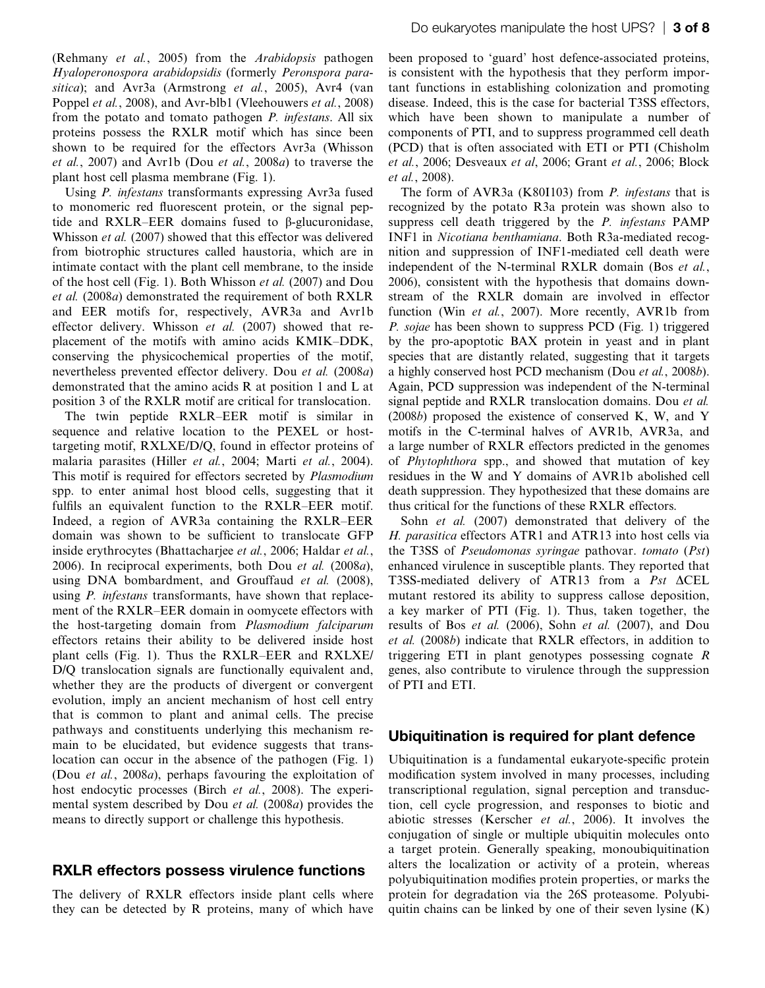(Rehmany et al., 2005) from the Arabidopsis pathogen Hyaloperonospora arabidopsidis (formerly Peronspora parasitica); and Avr3a (Armstrong et al., 2005), Avr4 (van Poppel et al., 2008), and Avr-blb1 (Vleehouwers et al., 2008) from the potato and tomato pathogen P. infestans. All six proteins possess the RXLR motif which has since been shown to be required for the effectors Avr3a (Whisson et al., 2007) and Avr1b (Dou et al., 2008a) to traverse the plant host cell plasma membrane (Fig. 1).

Using *P. infestans* transformants expressing Avr3a fused to monomeric red fluorescent protein, or the signal peptide and  $RXLR-EER$  domains fused to  $\beta$ -glucuronidase, Whisson et al. (2007) showed that this effector was delivered from biotrophic structures called haustoria, which are in intimate contact with the plant cell membrane, to the inside of the host cell (Fig. 1). Both Whisson et al. (2007) and Dou et al. (2008a) demonstrated the requirement of both RXLR and EER motifs for, respectively, AVR3a and Avr1b effector delivery. Whisson et al. (2007) showed that replacement of the motifs with amino acids KMIK–DDK, conserving the physicochemical properties of the motif, nevertheless prevented effector delivery. Dou et al. (2008a) demonstrated that the amino acids R at position 1 and L at position 3 of the RXLR motif are critical for translocation.

The twin peptide RXLR–EER motif is similar in sequence and relative location to the PEXEL or hosttargeting motif, RXLXE/D/Q, found in effector proteins of malaria parasites (Hiller et al., 2004; Marti et al., 2004). This motif is required for effectors secreted by Plasmodium spp. to enter animal host blood cells, suggesting that it fulfils an equivalent function to the RXLR–EER motif. Indeed, a region of AVR3a containing the RXLR–EER domain was shown to be sufficient to translocate GFP inside erythrocytes (Bhattacharjee et al., 2006; Haldar et al., 2006). In reciprocal experiments, both Dou et al.  $(2008a)$ , using DNA bombardment, and Grouffaud et al. (2008), using *P. infestans* transformants, have shown that replacement of the RXLR–EER domain in oomycete effectors with the host-targeting domain from Plasmodium falciparum effectors retains their ability to be delivered inside host plant cells (Fig. 1). Thus the RXLR–EER and RXLXE/ D/Q translocation signals are functionally equivalent and, whether they are the products of divergent or convergent evolution, imply an ancient mechanism of host cell entry that is common to plant and animal cells. The precise pathways and constituents underlying this mechanism remain to be elucidated, but evidence suggests that translocation can occur in the absence of the pathogen (Fig. 1) (Dou et al., 2008a), perhaps favouring the exploitation of host endocytic processes (Birch et al., 2008). The experimental system described by Dou et al. (2008a) provides the means to directly support or challenge this hypothesis.

#### RXLR effectors possess virulence functions

The delivery of RXLR effectors inside plant cells where they can be detected by R proteins, many of which have

been proposed to 'guard' host defence-associated proteins, is consistent with the hypothesis that they perform important functions in establishing colonization and promoting disease. Indeed, this is the case for bacterial T3SS effectors, which have been shown to manipulate a number of components of PTI, and to suppress programmed cell death (PCD) that is often associated with ETI or PTI (Chisholm et al., 2006; Desveaux et al, 2006; Grant et al., 2006; Block et al., 2008).

The form of AVR3a (K80I103) from P. infestans that is recognized by the potato R3a protein was shown also to suppress cell death triggered by the P. infestans PAMP INF1 in Nicotiana benthamiana. Both R3a-mediated recognition and suppression of INF1-mediated cell death were independent of the N-terminal RXLR domain (Bos et al., 2006), consistent with the hypothesis that domains downstream of the RXLR domain are involved in effector function (Win et al., 2007). More recently, AVR1b from P. sojae has been shown to suppress PCD (Fig. 1) triggered by the pro-apoptotic BAX protein in yeast and in plant species that are distantly related, suggesting that it targets a highly conserved host PCD mechanism (Dou et al., 2008b). Again, PCD suppression was independent of the N-terminal signal peptide and RXLR translocation domains. Dou et al. (2008b) proposed the existence of conserved K, W, and Y motifs in the C-terminal halves of AVR1b, AVR3a, and a large number of RXLR effectors predicted in the genomes of Phytophthora spp., and showed that mutation of key residues in the W and Y domains of AVR1b abolished cell death suppression. They hypothesized that these domains are thus critical for the functions of these RXLR effectors.

Sohn *et al.* (2007) demonstrated that delivery of the H. parasitica effectors ATR1 and ATR13 into host cells via the T3SS of Pseudomonas syringae pathovar. tomato (Pst) enhanced virulence in susceptible plants. They reported that T3SS-mediated delivery of ATR13 from a Pst  $\triangle$ CEL mutant restored its ability to suppress callose deposition, a key marker of PTI (Fig. 1). Thus, taken together, the results of Bos et al. (2006), Sohn et al. (2007), and Dou et al. (2008b) indicate that RXLR effectors, in addition to triggering ETI in plant genotypes possessing cognate R genes, also contribute to virulence through the suppression of PTI and ETI.

### Ubiquitination is required for plant defence

Ubiquitination is a fundamental eukaryote-specific protein modification system involved in many processes, including transcriptional regulation, signal perception and transduction, cell cycle progression, and responses to biotic and abiotic stresses (Kerscher et al., 2006). It involves the conjugation of single or multiple ubiquitin molecules onto a target protein. Generally speaking, monoubiquitination alters the localization or activity of a protein, whereas polyubiquitination modifies protein properties, or marks the protein for degradation via the 26S proteasome. Polyubiquitin chains can be linked by one of their seven lysine  $(K)$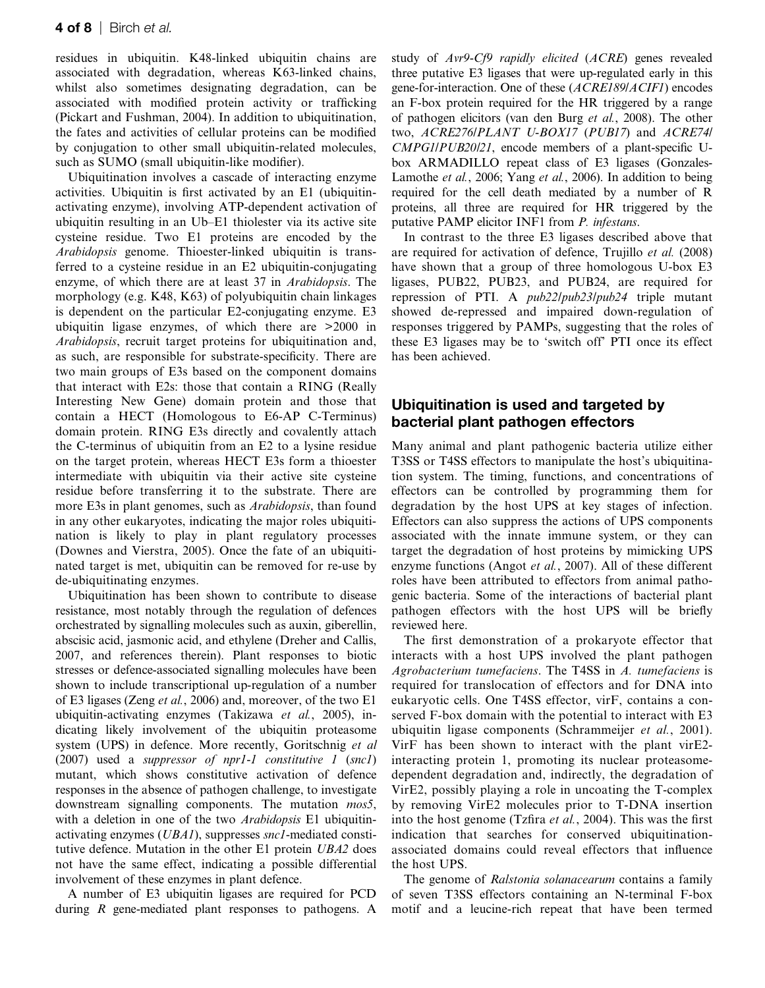residues in ubiquitin. K48-linked ubiquitin chains are associated with degradation, whereas K63-linked chains, whilst also sometimes designating degradation, can be associated with modified protein activity or trafficking (Pickart and Fushman, 2004). In addition to ubiquitination, the fates and activities of cellular proteins can be modified by conjugation to other small ubiquitin-related molecules, such as SUMO (small ubiquitin-like modifier).

Ubiquitination involves a cascade of interacting enzyme activities. Ubiquitin is first activated by an E1 (ubiquitinactivating enzyme), involving ATP-dependent activation of ubiquitin resulting in an Ub–E1 thiolester via its active site cysteine residue. Two E1 proteins are encoded by the Arabidopsis genome. Thioester-linked ubiquitin is transferred to a cysteine residue in an E2 ubiquitin-conjugating enzyme, of which there are at least 37 in Arabidopsis. The morphology (e.g. K48, K63) of polyubiquitin chain linkages is dependent on the particular E2-conjugating enzyme. E3 ubiquitin ligase enzymes, of which there are >2000 in Arabidopsis, recruit target proteins for ubiquitination and, as such, are responsible for substrate-specificity. There are two main groups of E3s based on the component domains that interact with E2s: those that contain a RING (Really Interesting New Gene) domain protein and those that contain a HECT (Homologous to E6-AP C-Terminus) domain protein. RING E3s directly and covalently attach the C-terminus of ubiquitin from an E2 to a lysine residue on the target protein, whereas HECT E3s form a thioester intermediate with ubiquitin via their active site cysteine residue before transferring it to the substrate. There are more E3s in plant genomes, such as *Arabidopsis*, than found in any other eukaryotes, indicating the major roles ubiquitination is likely to play in plant regulatory processes (Downes and Vierstra, 2005). Once the fate of an ubiquitinated target is met, ubiquitin can be removed for re-use by de-ubiquitinating enzymes.

Ubiquitination has been shown to contribute to disease resistance, most notably through the regulation of defences orchestrated by signalling molecules such as auxin, giberellin, abscisic acid, jasmonic acid, and ethylene (Dreher and Callis, 2007, and references therein). Plant responses to biotic stresses or defence-associated signalling molecules have been shown to include transcriptional up-regulation of a number of E3 ligases (Zeng et al., 2006) and, moreover, of the two E1 ubiquitin-activating enzymes (Takizawa et al., 2005), indicating likely involvement of the ubiquitin proteasome system (UPS) in defence. More recently, Goritschnig et al (2007) used a suppressor of npr1-1 constitutive 1 (snc1) mutant, which shows constitutive activation of defence responses in the absence of pathogen challenge, to investigate downstream signalling components. The mutation *mos5*, with a deletion in one of the two *Arabidopsis* E1 ubiquitinactivating enzymes (UBA1), suppresses snc1-mediated constitutive defence. Mutation in the other E1 protein UBA2 does not have the same effect, indicating a possible differential involvement of these enzymes in plant defence.

A number of E3 ubiquitin ligases are required for PCD during R gene-mediated plant responses to pathogens. A study of Avr9-Cf9 rapidly elicited (ACRE) genes revealed three putative E3 ligases that were up-regulated early in this gene-for-interaction. One of these (ACRE189/ACIF1) encodes an F-box protein required for the HR triggered by a range of pathogen elicitors (van den Burg et al., 2008). The other two, ACRE276/PLANT U-BOX17 (PUB17) and ACRE74/ CMPG1/PUB20/21, encode members of a plant-specific Ubox ARMADILLO repeat class of E3 ligases (Gonzales-Lamothe et al., 2006; Yang et al., 2006). In addition to being required for the cell death mediated by a number of R proteins, all three are required for HR triggered by the putative PAMP elicitor INF1 from P. infestans.

In contrast to the three E3 ligases described above that are required for activation of defence, Trujillo et al. (2008) have shown that a group of three homologous U-box E3 ligases, PUB22, PUB23, and PUB24, are required for repression of PTI. A pub22/pub23/pub24 triple mutant showed de-repressed and impaired down-regulation of responses triggered by PAMPs, suggesting that the roles of these E3 ligases may be to 'switch off' PTI once its effect has been achieved.

### Ubiquitination is used and targeted by bacterial plant pathogen effectors

Many animal and plant pathogenic bacteria utilize either T3SS or T4SS effectors to manipulate the host's ubiquitination system. The timing, functions, and concentrations of effectors can be controlled by programming them for degradation by the host UPS at key stages of infection. Effectors can also suppress the actions of UPS components associated with the innate immune system, or they can target the degradation of host proteins by mimicking UPS enzyme functions (Angot *et al.*, 2007). All of these different roles have been attributed to effectors from animal pathogenic bacteria. Some of the interactions of bacterial plant pathogen effectors with the host UPS will be briefly reviewed here.

The first demonstration of a prokaryote effector that interacts with a host UPS involved the plant pathogen Agrobacterium tumefaciens. The T4SS in A. tumefaciens is required for translocation of effectors and for DNA into eukaryotic cells. One T4SS effector, virF, contains a conserved F-box domain with the potential to interact with E3 ubiquitin ligase components (Schrammeijer et al., 2001). VirF has been shown to interact with the plant virE2 interacting protein 1, promoting its nuclear proteasomedependent degradation and, indirectly, the degradation of VirE2, possibly playing a role in uncoating the T-complex by removing VirE2 molecules prior to T-DNA insertion into the host genome (Tzfira et al., 2004). This was the first indication that searches for conserved ubiquitinationassociated domains could reveal effectors that influence the host UPS.

The genome of Ralstonia solanacearum contains a family of seven T3SS effectors containing an N-terminal F-box motif and a leucine-rich repeat that have been termed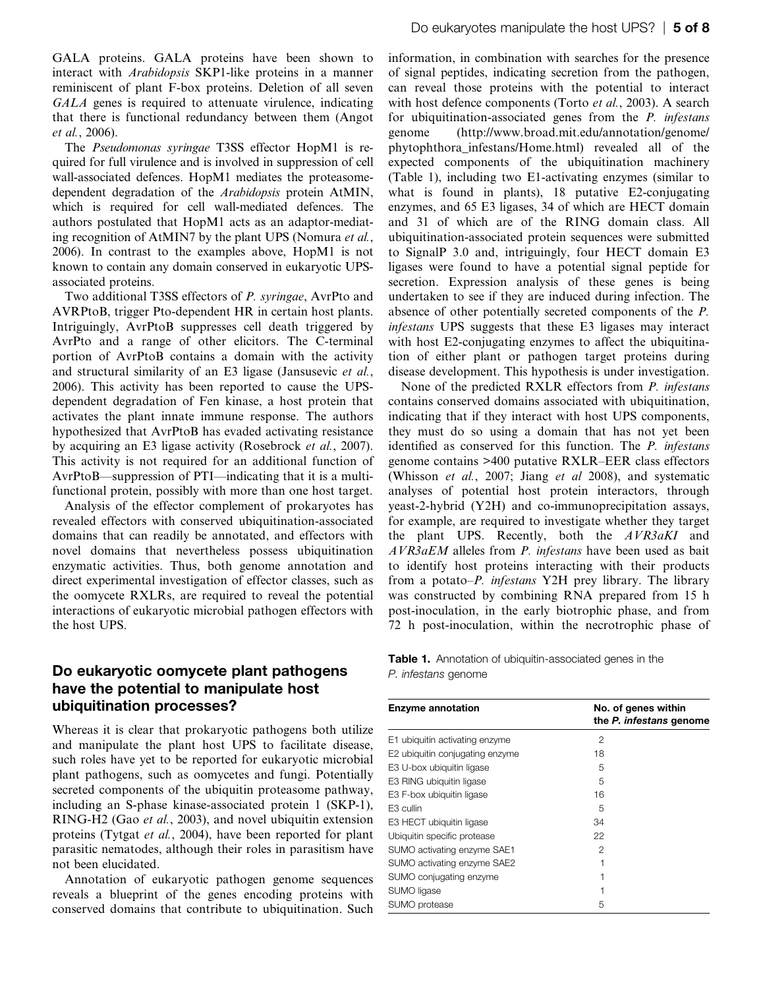GALA proteins. GALA proteins have been shown to interact with Arabidopsis SKP1-like proteins in a manner reminiscent of plant F-box proteins. Deletion of all seven GALA genes is required to attenuate virulence, indicating that there is functional redundancy between them (Angot et al., 2006).

The Pseudomonas syringae T3SS effector HopM1 is required for full virulence and is involved in suppression of cell wall-associated defences. HopM1 mediates the proteasomedependent degradation of the Arabidopsis protein AtMIN, which is required for cell wall-mediated defences. The authors postulated that HopM1 acts as an adaptor-mediating recognition of AtMIN7 by the plant UPS (Nomura et al., 2006). In contrast to the examples above, HopM1 is not known to contain any domain conserved in eukaryotic UPSassociated proteins.

Two additional T3SS effectors of P. syringae, AvrPto and AVRPtoB, trigger Pto-dependent HR in certain host plants. Intriguingly, AvrPtoB suppresses cell death triggered by AvrPto and a range of other elicitors. The C-terminal portion of AvrPtoB contains a domain with the activity and structural similarity of an E3 ligase (Jansusevic et al., 2006). This activity has been reported to cause the UPSdependent degradation of Fen kinase, a host protein that activates the plant innate immune response. The authors hypothesized that AvrPtoB has evaded activating resistance by acquiring an E3 ligase activity (Rosebrock et al., 2007). This activity is not required for an additional function of AvrPtoB—suppression of PTI—indicating that it is a multifunctional protein, possibly with more than one host target.

Analysis of the effector complement of prokaryotes has revealed effectors with conserved ubiquitination-associated domains that can readily be annotated, and effectors with novel domains that nevertheless possess ubiquitination enzymatic activities. Thus, both genome annotation and direct experimental investigation of effector classes, such as the oomycete RXLRs, are required to reveal the potential interactions of eukaryotic microbial pathogen effectors with the host UPS.

## Do eukaryotic oomycete plant pathogens have the potential to manipulate host ubiquitination processes?

Whereas it is clear that prokaryotic pathogens both utilize and manipulate the plant host UPS to facilitate disease, such roles have yet to be reported for eukaryotic microbial plant pathogens, such as oomycetes and fungi. Potentially secreted components of the ubiquitin proteasome pathway, including an S-phase kinase-associated protein 1 (SKP-1), RING-H2 (Gao et al., 2003), and novel ubiquitin extension proteins (Tytgat et al., 2004), have been reported for plant parasitic nematodes, although their roles in parasitism have not been elucidated.

Annotation of eukaryotic pathogen genome sequences reveals a blueprint of the genes encoding proteins with conserved domains that contribute to ubiquitination. Such information, in combination with searches for the presence of signal peptides, indicating secretion from the pathogen, can reveal those proteins with the potential to interact with host defence components (Torto et al., 2003). A search for ubiquitination-associated genes from the P. infestans genome ([http://www.broad.mit.edu/annotation/genome/](http://www.broad.mit.edu/annotation/genome/phytophthora_infestans/Home.html) [phytophthora\\_infestans/Home.html\)](http://www.broad.mit.edu/annotation/genome/phytophthora_infestans/Home.html) revealed all of the expected components of the ubiquitination machinery (Table 1), including two E1-activating enzymes (similar to what is found in plants), 18 putative E2-conjugating enzymes, and 65 E3 ligases, 34 of which are HECT domain and 31 of which are of the RING domain class. All ubiquitination-associated protein sequences were submitted to SignalP 3.0 and, intriguingly, four HECT domain E3 ligases were found to have a potential signal peptide for secretion. Expression analysis of these genes is being undertaken to see if they are induced during infection. The absence of other potentially secreted components of the P. infestans UPS suggests that these E3 ligases may interact with host E2-conjugating enzymes to affect the ubiquitination of either plant or pathogen target proteins during disease development. This hypothesis is under investigation.

None of the predicted RXLR effectors from P. infestans contains conserved domains associated with ubiquitination, indicating that if they interact with host UPS components, they must do so using a domain that has not yet been identified as conserved for this function. The P. infestans genome contains >400 putative RXLR–EER class effectors (Whisson et al., 2007; Jiang et al 2008), and systematic analyses of potential host protein interactors, through yeast-2-hybrid (Y2H) and co-immunoprecipitation assays, for example, are required to investigate whether they target the plant UPS. Recently, both the AVR3aKI and AVR3aEM alleles from P. infestans have been used as bait to identify host proteins interacting with their products from a potato–P. infestans Y2H prey library. The library was constructed by combining RNA prepared from 15 h post-inoculation, in the early biotrophic phase, and from 72 h post-inoculation, within the necrotrophic phase of

Table 1. Annotation of ubiquitin-associated genes in the P. infestans genome

| <b>Enzyme annotation</b>        | No. of genes within<br>the P. infestans genome |
|---------------------------------|------------------------------------------------|
| E1 ubiquitin activating enzyme  | $\mathfrak{p}$                                 |
| E2 ubiquitin conjugating enzyme | 18                                             |
| E3 U-box ubiquitin ligase       | 5                                              |
| E3 RING ubiquitin ligase        | 5                                              |
| E3 F-box ubiquitin ligase       | 16                                             |
| E3 cullin                       | 5                                              |
| E3 HECT ubiquitin ligase        | 34                                             |
| Ubiquitin specific protease     | 22                                             |
| SUMO activating enzyme SAE1     | 2                                              |
| SUMO activating enzyme SAE2     |                                                |
| SUMO conjugating enzyme         |                                                |
| SUMO ligase                     |                                                |
| SUMO protease                   | 5                                              |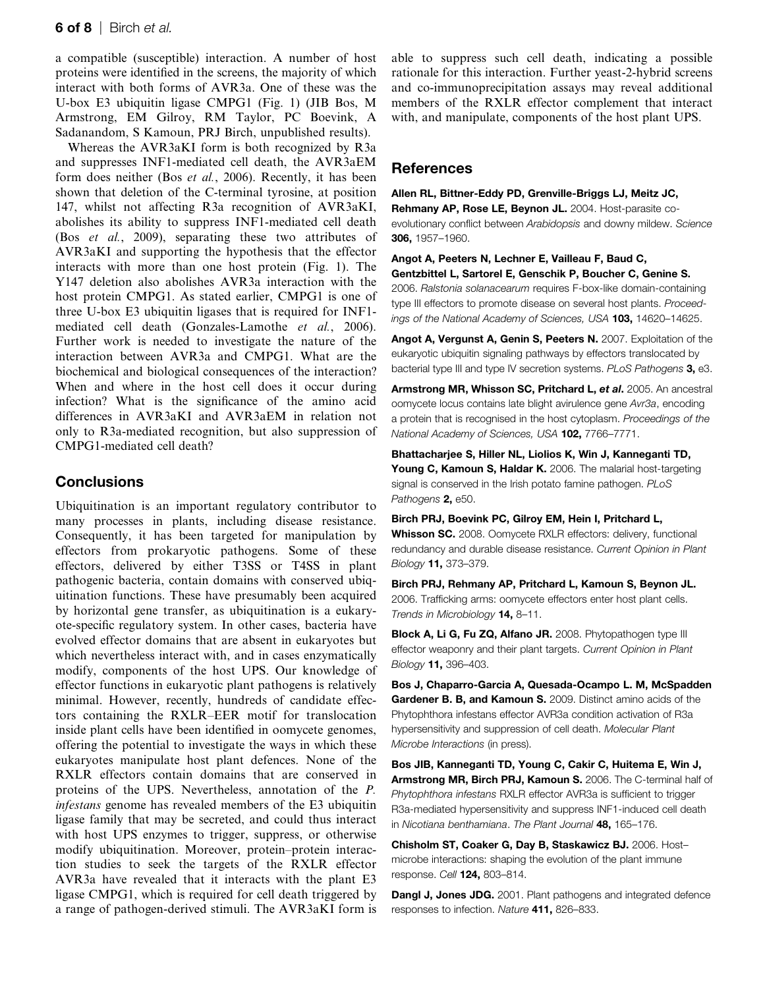a compatible (susceptible) interaction. A number of host proteins were identified in the screens, the majority of which interact with both forms of AVR3a. One of these was the U-box E3 ubiquitin ligase CMPG1 (Fig. 1) (JIB Bos, M Armstrong, EM Gilroy, RM Taylor, PC Boevink, A Sadanandom, S Kamoun, PRJ Birch, unpublished results).

Whereas the AVR3aKI form is both recognized by R3a and suppresses INF1-mediated cell death, the AVR3aEM form does neither (Bos et al., 2006). Recently, it has been shown that deletion of the C-terminal tyrosine, at position 147, whilst not affecting R3a recognition of AVR3aKI, abolishes its ability to suppress INF1-mediated cell death (Bos et al., 2009), separating these two attributes of AVR3aKI and supporting the hypothesis that the effector interacts with more than one host protein (Fig. 1). The Y147 deletion also abolishes AVR3a interaction with the host protein CMPG1. As stated earlier, CMPG1 is one of three U-box E3 ubiquitin ligases that is required for INF1 mediated cell death (Gonzales-Lamothe et al., 2006). Further work is needed to investigate the nature of the interaction between AVR3a and CMPG1. What are the biochemical and biological consequences of the interaction? When and where in the host cell does it occur during infection? What is the significance of the amino acid differences in AVR3aKI and AVR3aEM in relation not only to R3a-mediated recognition, but also suppression of CMPG1-mediated cell death?

#### **Conclusions**

Ubiquitination is an important regulatory contributor to many processes in plants, including disease resistance. Consequently, it has been targeted for manipulation by effectors from prokaryotic pathogens. Some of these effectors, delivered by either T3SS or T4SS in plant pathogenic bacteria, contain domains with conserved ubiquitination functions. These have presumably been acquired by horizontal gene transfer, as ubiquitination is a eukaryote-specific regulatory system. In other cases, bacteria have evolved effector domains that are absent in eukaryotes but which nevertheless interact with, and in cases enzymatically modify, components of the host UPS. Our knowledge of effector functions in eukaryotic plant pathogens is relatively minimal. However, recently, hundreds of candidate effectors containing the RXLR–EER motif for translocation inside plant cells have been identified in oomycete genomes, offering the potential to investigate the ways in which these eukaryotes manipulate host plant defences. None of the RXLR effectors contain domains that are conserved in proteins of the UPS. Nevertheless, annotation of the P. infestans genome has revealed members of the E3 ubiquitin ligase family that may be secreted, and could thus interact with host UPS enzymes to trigger, suppress, or otherwise modify ubiquitination. Moreover, protein–protein interaction studies to seek the targets of the RXLR effector AVR3a have revealed that it interacts with the plant E3 ligase CMPG1, which is required for cell death triggered by a range of pathogen-derived stimuli. The AVR3aKI form is able to suppress such cell death, indicating a possible rationale for this interaction. Further yeast-2-hybrid screens and co-immunoprecipitation assays may reveal additional members of the RXLR effector complement that interact with, and manipulate, components of the host plant UPS.

#### References

Allen RL, Bittner-Eddy PD, Grenville-Briggs LJ, Meitz JC, Rehmany AP, Rose LE, Beynon JL. 2004. Host-parasite co-

evolutionary conflict between Arabidopsis and downy mildew. Science 306, 1957–1960.

Angot A, Peeters N, Lechner E, Vailleau F, Baud C, Gentzbittel L, Sartorel E, Genschik P, Boucher C, Genine S.

2006. Ralstonia solanacearum requires F-box-like domain-containing type III effectors to promote disease on several host plants. Proceedings of the National Academy of Sciences, USA 103, 14620-14625.

Angot A, Vergunst A, Genin S, Peeters N. 2007. Exploitation of the eukaryotic ubiquitin signaling pathways by effectors translocated by bacterial type III and type IV secretion systems. PLoS Pathogens 3, e3.

Armstrong MR, Whisson SC, Pritchard L, et al. 2005. An ancestral oomycete locus contains late blight avirulence gene Avr3a, encoding a protein that is recognised in the host cytoplasm. Proceedings of the National Academy of Sciences, USA 102, 7766-7771.

Bhattacharjee S, Hiller NL, Liolios K, Win J, Kanneganti TD, Young C, Kamoun S, Haldar K. 2006. The malarial host-targeting signal is conserved in the Irish potato famine pathogen. PLoS Pathogens 2, e50.

Birch PRJ, Boevink PC, Gilroy EM, Hein I, Pritchard L, Whisson SC, 2008. Oomycete RXLR effectors: delivery, functional redundancy and durable disease resistance. Current Opinion in Plant Biology 11, 373–379.

Birch PRJ, Rehmany AP, Pritchard L, Kamoun S, Beynon JL. 2006. Trafficking arms: oomycete effectors enter host plant cells. Trends in Microbiology 14, 8-11.

Block A, Li G, Fu ZQ, Alfano JR. 2008. Phytopathogen type III effector weaponry and their plant targets. Current Opinion in Plant Biology 11, 396–403.

Bos J, Chaparro-Garcia A, Quesada-Ocampo L. M, McSpadden Gardener B. B, and Kamoun S. 2009. Distinct amino acids of the Phytophthora infestans effector AVR3a condition activation of R3a hypersensitivity and suppression of cell death. Molecular Plant Microbe Interactions (in press).

Bos JIB, Kanneganti TD, Young C, Cakir C, Huitema E, Win J, Armstrong MR, Birch PRJ, Kamoun S. 2006. The C-terminal half of Phytophthora infestans RXLR effector AVR3a is sufficient to trigger R3a-mediated hypersensitivity and suppress INF1-induced cell death in Nicotiana benthamiana. The Plant Journal 48, 165–176.

Chisholm ST, Coaker G, Day B, Staskawicz BJ. 2006. Host– microbe interactions: shaping the evolution of the plant immune response. Cell 124, 803–814.

**Dangl J. Jones JDG.** 2001. Plant pathogens and integrated defence responses to infection. Nature 411, 826–833.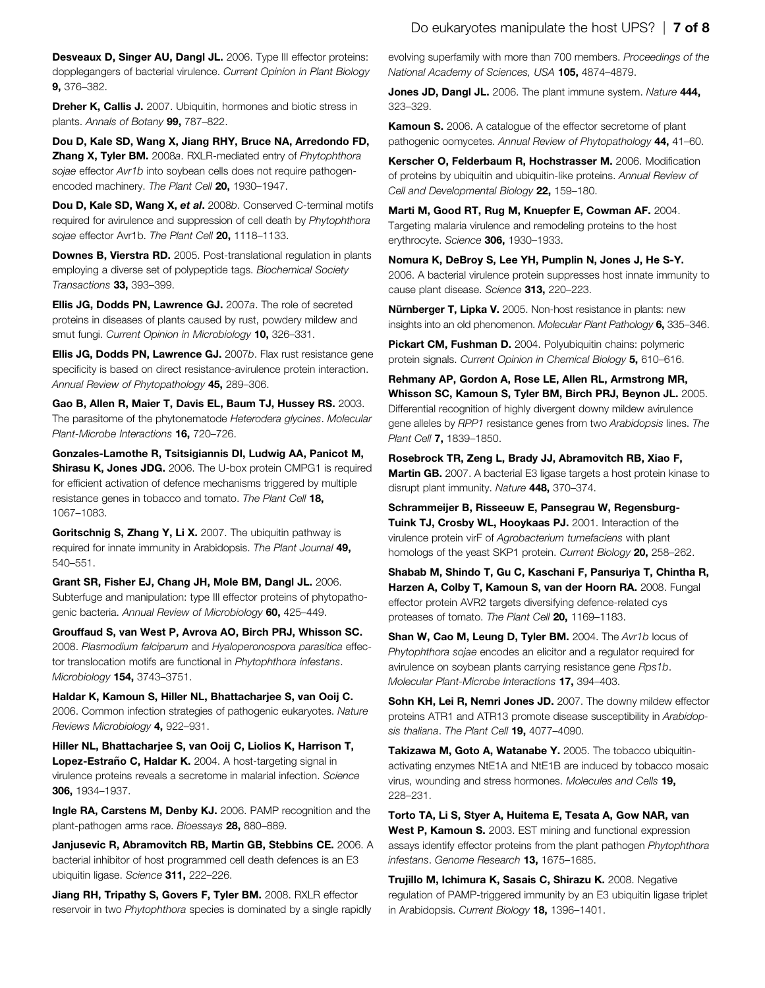Desveaux D, Singer AU, Dangl JL. 2006. Type III effector proteins: dopplegangers of bacterial virulence. Current Opinion in Plant Biology 9, 376–382.

Dreher K, Callis J. 2007. Ubiquitin, hormones and biotic stress in plants. Annals of Botany 99, 787–822.

Dou D, Kale SD, Wang X, Jiang RHY, Bruce NA, Arredondo FD, **Zhang X, Tyler BM.** 2008a. RXLR-mediated entry of Phytophthora sojae effector Avr1b into soybean cells does not require pathogenencoded machinery. The Plant Cell 20, 1930-1947.

Dou D, Kale SD, Wang X, et al. 2008b. Conserved C-terminal motifs required for avirulence and suppression of cell death by Phytophthora sojae effector Avr1b. The Plant Cell 20, 1118-1133.

Downes B, Vierstra RD. 2005. Post-translational regulation in plants employing a diverse set of polypeptide tags. Biochemical Society Transactions 33, 393–399.

Ellis JG, Dodds PN, Lawrence GJ. 2007a. The role of secreted proteins in diseases of plants caused by rust, powdery mildew and smut fungi. Current Opinion in Microbiology 10, 326-331.

Ellis JG, Dodds PN, Lawrence GJ. 2007b. Flax rust resistance gene specificity is based on direct resistance-avirulence protein interaction. Annual Review of Phytopathology 45, 289-306.

Gao B, Allen R, Maier T, Davis EL, Baum TJ, Hussey RS. 2003. The parasitome of the phytonematode Heterodera glycines. Molecular Plant-Microbe Interactions **16**, 720-726.

Gonzales-Lamothe R, Tsitsigiannis DI, Ludwig AA, Panicot M, Shirasu K, Jones JDG. 2006. The U-box protein CMPG1 is required for efficient activation of defence mechanisms triggered by multiple resistance genes in tobacco and tomato. The Plant Cell 18, 1067–1083.

Goritschnig S, Zhang Y, Li X. 2007. The ubiquitin pathway is required for innate immunity in Arabidopsis. The Plant Journal 49, 540–551.

Grant SR, Fisher EJ, Chang JH, Mole BM, Dangl JL. 2006. Subterfuge and manipulation: type III effector proteins of phytopathogenic bacteria. Annual Review of Microbiology 60, 425–449.

Grouffaud S, van West P, Avrova AO, Birch PRJ, Whisson SC. 2008. Plasmodium falciparum and Hyaloperonospora parasitica effector translocation motifs are functional in Phytophthora infestans. Microbiology 154, 3743–3751.

Haldar K, Kamoun S, Hiller NL, Bhattacharjee S, van Ooij C. 2006. Common infection strategies of pathogenic eukaryotes. Nature Reviews Microbiology 4, 922–931.

Hiller NL, Bhattacharjee S, van Ooij C, Liolios K, Harrison T, Lopez-Estraño C, Haldar K. 2004. A host-targeting signal in virulence proteins reveals a secretome in malarial infection. Science 306, 1934–1937.

Ingle RA, Carstens M, Denby KJ. 2006. PAMP recognition and the plant-pathogen arms race. Bioessays 28, 880–889.

Janjusevic R, Abramovitch RB, Martin GB, Stebbins CE. 2006. A bacterial inhibitor of host programmed cell death defences is an E3 ubiquitin ligase. Science 311, 222–226.

Jiang RH. Tripathy S. Govers F. Tyler BM. 2008. RXLR effector reservoir in two Phytophthora species is dominated by a single rapidly evolving superfamily with more than 700 members. Proceedings of the National Academy of Sciences, USA 105, 4874–4879.

Jones JD, Dangl JL. 2006. The plant immune system. Nature 444, 323–329.

Kamoun S. 2006. A catalogue of the effector secretome of plant pathogenic oomycetes. Annual Review of Phytopathology 44, 41–60.

Kerscher O, Felderbaum R, Hochstrasser M. 2006. Modification of proteins by ubiquitin and ubiquitin-like proteins. Annual Review of Cell and Developmental Biology 22, 159–180.

Marti M, Good RT, Rug M, Knuepfer E, Cowman AF. 2004. Targeting malaria virulence and remodeling proteins to the host erythrocyte. Science 306, 1930-1933.

Nomura K, DeBroy S, Lee YH, Pumplin N, Jones J, He S-Y. 2006. A bacterial virulence protein suppresses host innate immunity to cause plant disease. Science 313, 220–223.

Nürnberger T, Lipka V. 2005. Non-host resistance in plants: new insights into an old phenomenon. Molecular Plant Pathology 6, 335–346.

Pickart CM, Fushman D. 2004. Polyubiquitin chains: polymeric protein signals. Current Opinion in Chemical Biology 5, 610-616.

Rehmany AP, Gordon A, Rose LE, Allen RL, Armstrong MR, Whisson SC, Kamoun S, Tyler BM, Birch PRJ, Beynon JL. 2005. Differential recognition of highly divergent downy mildew avirulence gene alleles by RPP1 resistance genes from two Arabidopsis lines. The Plant Cell 7, 1839–1850.

Rosebrock TR, Zeng L, Brady JJ, Abramovitch RB, Xiao F, **Martin GB.** 2007. A bacterial E3 ligase targets a host protein kinase to disrupt plant immunity. Nature 448, 370-374.

Schrammeijer B, Risseeuw E, Pansegrau W, Regensburg-Tuink TJ, Crosby WL, Hooykaas PJ. 2001. Interaction of the virulence protein virF of Agrobacterium tumefaciens with plant homologs of the yeast SKP1 protein. Current Biology 20, 258-262.

Shabab M, Shindo T, Gu C, Kaschani F, Pansuriya T, Chintha R, Harzen A, Colby T, Kamoun S, van der Hoorn RA. 2008. Fungal effector protein AVR2 targets diversifying defence-related cys proteases of tomato. The Plant Cell 20, 1169-1183.

Shan W, Cao M, Leung D, Tyler BM. 2004. The Avr1b locus of Phytophthora sojae encodes an elicitor and a regulator required for avirulence on soybean plants carrying resistance gene Rps1b. Molecular Plant-Microbe Interactions 17, 394–403.

Sohn KH, Lei R, Nemri Jones JD. 2007. The downy mildew effector proteins ATR1 and ATR13 promote disease susceptibility in Arabidopsis thaliana. The Plant Cell 19. 4077-4090.

Takizawa M, Goto A, Watanabe Y. 2005. The tobacco ubiquitinactivating enzymes NtE1A and NtE1B are induced by tobacco mosaic virus, wounding and stress hormones. Molecules and Cells 19, 228–231.

Torto TA, Li S, Styer A, Huitema E, Tesata A, Gow NAR, van West P, Kamoun S. 2003. EST mining and functional expression assays identify effector proteins from the plant pathogen Phytophthora infestans. Genome Research 13, 1675-1685.

Trujillo M, Ichimura K, Sasais C, Shirazu K. 2008. Negative regulation of PAMP-triggered immunity by an E3 ubiquitin ligase triplet in Arabidopsis. Current Biology 18, 1396-1401.